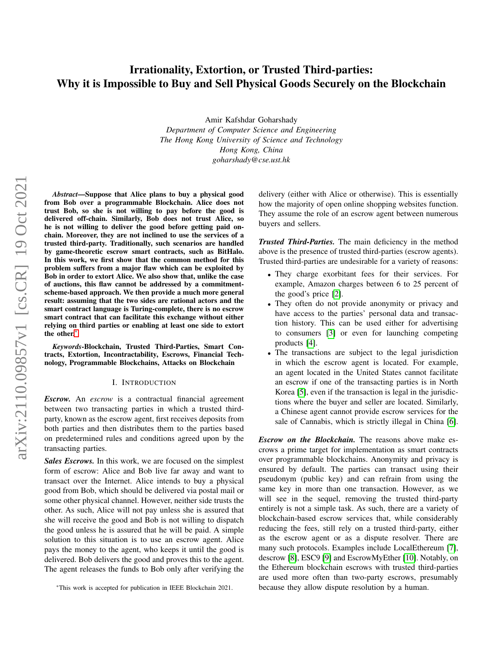# Irrationality, Extortion, or Trusted Third-parties: Why it is Impossible to Buy and Sell Physical Goods Securely on the Blockchain

Amir Kafshdar Goharshady *Department of Computer Science and Engineering The Hong Kong University of Science and Technology Hong Kong, China goharshady@cse.ust.hk*

arXiv:2110.09857v1 [cs.CR] 19 Oct 2021 arXiv:2110.09857v1 [cs.CR] 19 Oct 2021

*Abstract*—Suppose that Alice plans to buy a physical good from Bob over a programmable Blockchain. Alice does not trust Bob, so she is not willing to pay before the good is delivered off-chain. Similarly, Bob does not trust Alice, so he is not willing to deliver the good before getting paid onchain. Moreover, they are not inclined to use the services of a trusted third-party. Traditionally, such scenarios are handled by game-theoretic escrow smart contracts, such as BitHalo. In this work, we first show that the common method for this problem suffers from a major flaw which can be exploited by Bob in order to extort Alice. We also show that, unlike the case of auctions, this flaw cannot be addressed by a commitmentscheme-based approach. We then provide a much more general result: assuming that the two sides are rational actors and the smart contract language is Turing-complete, there is no escrow smart contract that can facilitate this exchange without either relying on third parties or enabling at least one side to extort the other.[\\*](#page-0-0)

*Keywords*-Blockchain, Trusted Third-Parties, Smart Contracts, Extortion, Incontractability, Escrows, Financial Technology, Programmable Blockchains, Attacks on Blockchain

#### I. INTRODUCTION

<span id="page-0-1"></span>*Escrow.* An *escrow* is a contractual financial agreement between two transacting parties in which a trusted thirdparty, known as the escrow agent, first receives deposits from both parties and then distributes them to the parties based on predetermined rules and conditions agreed upon by the transacting parties.

*Sales Escrows.* In this work, we are focused on the simplest form of escrow: Alice and Bob live far away and want to transact over the Internet. Alice intends to buy a physical good from Bob, which should be delivered via postal mail or some other physical channel. However, neither side trusts the other. As such, Alice will not pay unless she is assured that she will receive the good and Bob is not willing to dispatch the good unless he is assured that he will be paid. A simple solution to this situation is to use an escrow agent. Alice pays the money to the agent, who keeps it until the good is delivered. Bob delivers the good and proves this to the agent. The agent releases the funds to Bob only after verifying the delivery (either with Alice or otherwise). This is essentially how the majority of open online shopping websites function. They assume the role of an escrow agent between numerous buyers and sellers.

*Trusted Third-Parties.* The main deficiency in the method above is the presence of trusted third-parties (escrow agents). Trusted third-parties are undesirable for a variety of reasons:

- They charge exorbitant fees for their services. For example, Amazon charges between 6 to 25 percent of the good's price [\[2\]](#page-8-0).
- They often do not provide anonymity or privacy and have access to the parties' personal data and transaction history. This can be used either for advertising to consumers [\[3\]](#page-8-1) or even for launching competing products [\[4\]](#page-8-2).
- The transactions are subject to the legal jurisdiction in which the escrow agent is located. For example, an agent located in the United States cannot facilitate an escrow if one of the transacting parties is in North Korea [\[5\]](#page-8-3), even if the transaction is legal in the jurisdictions where the buyer and seller are located. Similarly, a Chinese agent cannot provide escrow services for the sale of Cannabis, which is strictly illegal in China [\[6\]](#page-8-4).

*Escrow on the Blockchain.* The reasons above make escrows a prime target for implementation as smart contracts over programmable blockchains. Anonymity and privacy is ensured by default. The parties can transact using their pseudonym (public key) and can refrain from using the same key in more than one transaction. However, as we will see in the sequel, removing the trusted third-party entirely is not a simple task. As such, there are a variety of blockchain-based escrow services that, while considerably reducing the fees, still rely on a trusted third-party, either as the escrow agent or as a dispute resolver. There are many such protocols. Examples include LocalEthereum [\[7\]](#page-8-5), descrow [\[8\]](#page-8-6), ESC9 [\[9\]](#page-8-7) and EscrowMyEther [\[10\]](#page-8-8). Notably, on the Ethereum blockchain escrows with trusted third-parties are used more often than two-party escrows, presumably because they allow dispute resolution by a human.

<span id="page-0-0"></span><sup>\*</sup>This work is accepted for publication in IEEE Blockchain 2021.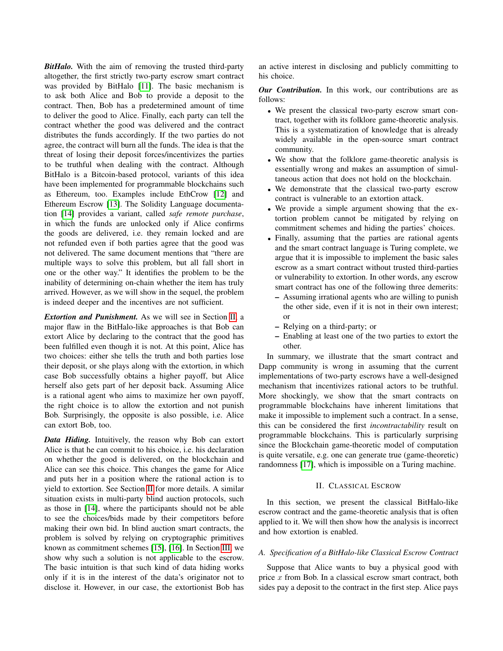*BitHalo.* With the aim of removing the trusted third-party altogether, the first strictly two-party escrow smart contract was provided by BitHalo [\[11\]](#page-8-9). The basic mechanism is to ask both Alice and Bob to provide a deposit to the contract. Then, Bob has a predetermined amount of time to deliver the good to Alice. Finally, each party can tell the contract whether the good was delivered and the contract distributes the funds accordingly. If the two parties do not agree, the contract will burn all the funds. The idea is that the threat of losing their deposit forces/incentivizes the parties to be truthful when dealing with the contract. Although BitHalo is a Bitcoin-based protocol, variants of this idea have been implemented for programmable blockchains such as Ethereum, too. Examples include EthCrow [\[12\]](#page-8-10) and Ethereum Escrow [\[13\]](#page-8-11). The Solidity Language documentation [\[14\]](#page-8-12) provides a variant, called *safe remote purchase*, in which the funds are unlocked only if Alice confirms the goods are delivered, i.e. they remain locked and are not refunded even if both parties agree that the good was not delivered. The same document mentions that "there are multiple ways to solve this problem, but all fall short in one or the other way." It identifies the problem to be the inability of determining on-chain whether the item has truly arrived. However, as we will show in the sequel, the problem is indeed deeper and the incentives are not sufficient.

*Extortion and Punishment.* As we will see in Section [II,](#page-1-0) a major flaw in the BitHalo-like approaches is that Bob can extort Alice by declaring to the contract that the good has been fulfilled even though it is not. At this point, Alice has two choices: either she tells the truth and both parties lose their deposit, or she plays along with the extortion, in which case Bob successfully obtains a higher payoff, but Alice herself also gets part of her deposit back. Assuming Alice is a rational agent who aims to maximize her own payoff, the right choice is to allow the extortion and not punish Bob. Surprisingly, the opposite is also possible, i.e. Alice can extort Bob, too.

*Data Hiding.* Intuitively, the reason why Bob can extort Alice is that he can commit to his choice, i.e. his declaration on whether the good is delivered, on the blockchain and Alice can see this choice. This changes the game for Alice and puts her in a position where the rational action is to yield to extortion. See Section [II](#page-1-0) for more details. A similar situation exists in multi-party blind auction protocols, such as those in [\[14\]](#page-8-12), where the participants should not be able to see the choices/bids made by their competitors before making their own bid. In blind auction smart contracts, the problem is solved by relying on cryptographic primitives known as commitment schemes [\[15\]](#page-8-13), [\[16\]](#page-8-14). In Section [III,](#page-3-0) we show why such a solution is not applicable to the escrow. The basic intuition is that such kind of data hiding works only if it is in the interest of the data's originator not to disclose it. However, in our case, the extortionist Bob has an active interest in disclosing and publicly committing to his choice.

*Our Contribution.* In this work, our contributions are as follows:

- We present the classical two-party escrow smart contract, together with its folklore game-theoretic analysis. This is a systematization of knowledge that is already widely available in the open-source smart contract community.
- We show that the folklore game-theoretic analysis is essentially wrong and makes an assumption of simultaneous action that does not hold on the blockchain.
- We demonstrate that the classical two-party escrow contract is vulnerable to an extortion attack.
- We provide a simple argument showing that the extortion problem cannot be mitigated by relying on commitment schemes and hiding the parties' choices.
- Finally, assuming that the parties are rational agents and the smart contract language is Turing complete, we argue that it is impossible to implement the basic sales escrow as a smart contract without trusted third-parties or vulnerability to extortion. In other words, any escrow smart contract has one of the following three demerits:
	- Assuming irrational agents who are willing to punish the other side, even if it is not in their own interest; or
	- Relying on a third-party; or
	- Enabling at least one of the two parties to extort the other.

In summary, we illustrate that the smart contract and Dapp community is wrong in assuming that the current implementations of two-party escrows have a well-designed mechanism that incentivizes rational actors to be truthful. More shockingly, we show that the smart contracts on programmable blockchains have inherent limitations that make it impossible to implement such a contract. In a sense, this can be considered the first *incontractability* result on programmable blockchains. This is particularly surprising since the Blockchain game-theoretic model of computation is quite versatile, e.g. one can generate true (game-theoretic) randomness [\[17\]](#page-8-15), which is impossible on a Turing machine.

#### II. CLASSICAL ESCROW

<span id="page-1-0"></span>In this section, we present the classical BitHalo-like escrow contract and the game-theoretic analysis that is often applied to it. We will then show how the analysis is incorrect and how extortion is enabled.

# <span id="page-1-1"></span>*A. Specification of a BitHalo-like Classical Escrow Contract*

Suppose that Alice wants to buy a physical good with price  $x$  from Bob. In a classical escrow smart contract, both sides pay a deposit to the contract in the first step. Alice pays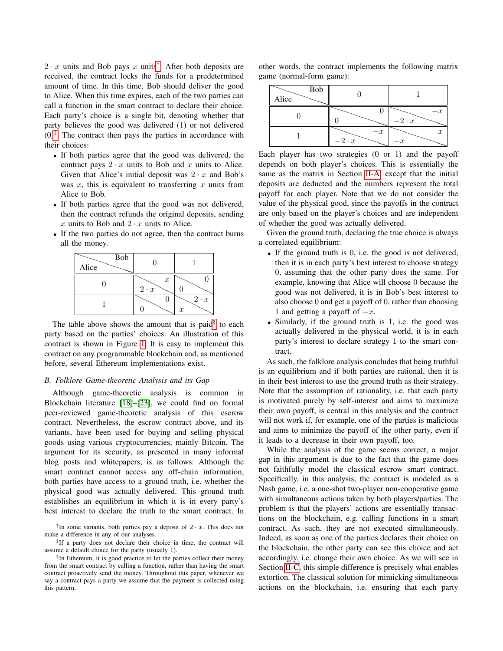$2 \cdot x$  units and Bob pays x units<sup>[†](#page-2-0)</sup>. After both deposits are received, the contract locks the funds for a predetermined amount of time. In this time, Bob should deliver the good to Alice. When this time expires, each of the two parties can call a function in the smart contract to declare their choice. Each party's choice is a single bit, denoting whether that party believes the good was delivered (1) or not delivered  $(0)^{\ddagger}$ . The contract then pays the parties in accordance with their choices:

- If both parties agree that the good was delivered, the contract pays  $2 \cdot x$  units to Bob and x units to Alice. Given that Alice's initial deposit was  $2 \cdot x$  and Bob's was  $x$ , this is equivalent to transferring  $x$  units from Alice to Bob.
- If both parties agree that the good was not delivered, then the contract refunds the original deposits, sending x units to Bob and  $2 \cdot x$  units to Alice.
- If the two parties do not agree, then the contract burns all the money.

| Bob<br>Alice |                                 |                                 |
|--------------|---------------------------------|---------------------------------|
|              | $\boldsymbol{x}$<br>$2 \cdot x$ |                                 |
|              |                                 | $2 \cdot x$<br>$\boldsymbol{x}$ |

The table above shows the amount that is paid $§$  to each party based on the parties' choices. An illustration of this contract is shown in Figure [1.](#page-3-1) It is easy to implement this contract on any programmable blockchain and, as mentioned before, several Ethereum implementations exist.

## <span id="page-2-3"></span>*B. Folklore Game-theoretic Analysis and its Gap*

Although game-theoretic analysis is common in Blockchain literature [\[18\]](#page-8-16)–[\[23\]](#page-8-17), we could find no formal peer-reviewed game-theoretic analysis of this escrow contract. Nevertheless, the escrow contract above, and its variants, have been used for buying and selling physical goods using various cryptocurrencies, mainly Bitcoin. The argument for its security, as presented in many informal blog posts and whitepapers, is as follows: Although the smart contract cannot access any off-chain information, both parties have access to a ground truth, i.e. whether the physical good was actually delivered. This ground truth establishes an equilibrium in which it is in every party's best interest to declare the truth to the smart contract. In

<span id="page-2-0"></span><sup>†</sup>In some variants, both parties pay a deposit of  $2 \cdot x$ . This does not make a difference in any of our analyses.

<span id="page-2-1"></span>‡ If a party does not declare their choice in time, the contract will assume a default choice for the party (usually 1).

<span id="page-2-2"></span>§ In Ethereum, it is good practice to let the parties collect their money from the smart contract by calling a function, rather than having the smart contract proactively send the money. Throughout this paper, whenever we say a contract pays a party we assume that the payment is collected using this pattern.

other words, the contract implements the following matrix game (normal-form game):

|       | . .          |              |
|-------|--------------|--------------|
| Bob   |              |              |
| Alice |              |              |
|       |              |              |
|       |              | $-2 \cdot x$ |
|       | $-x$         |              |
|       | $-2 \cdot x$ | x            |

Each player has two strategies  $(0 \text{ or } 1)$  and the payoff depends on both player's choices. This is essentially the same as the matrix in Section [II-A,](#page-1-1) except that the initial deposits are deducted and the numbers represent the total payoff for each player. Note that we do not consider the value of the physical good, since the payoffs in the contract are only based on the player's choices and are independent of whether the good was actually delivered.

Given the ground truth, declaring the true choice is always a correlated equilibrium:

- If the ground truth is 0, i.e. the good is not delivered, then it is in each party's best interest to choose strategy 0, assuming that the other party does the same. For example, knowing that Alice will choose 0 because the good was not delivered, it is in Bob's best interest to also choose 0 and get a payoff of 0, rather than choosing 1 and getting a payoff of  $-x$ .
- Similarly, if the ground truth is 1, i.e. the good was actually delivered in the physical world, it is in each party's interest to declare strategy 1 to the smart contract.

As such, the folklore analysis concludes that being truthful is an equilibrium and if both parties are rational, then it is in their best interest to use the ground truth as their strategy. Note that the assumption of rationality, i.e. that each party is motivated purely by self-interest and aims to maximize their own payoff, is central in this analysis and the contract will not work if, for example, one of the parties is malicious and aims to minimize the payoff of the other party, even if it leads to a decrease in their own payoff, too.

While the analysis of the game seems correct, a major gap in this argument is due to the fact that the game does not faithfully model the classical escrow smart contract. Specifically, in this analysis, the contract is modeled as a Nash game, i.e. a one-shot two-player non-cooperative game with simultaneous actions taken by both players/parties. The problem is that the players' actions are essentially transactions on the blockchain, e.g. calling functions in a smart contract. As such, they are not executed simultaneously. Indeed, as soon as one of the parties declares their choice on the blockchain, the other party can see this choice and act accordingly, i.e. change their own choice. As we will see in Section [II-C,](#page-3-2) this simple difference is precisely what enables extortion. The classical solution for mimicking simultaneous actions on the blockchain, i.e. ensuring that each party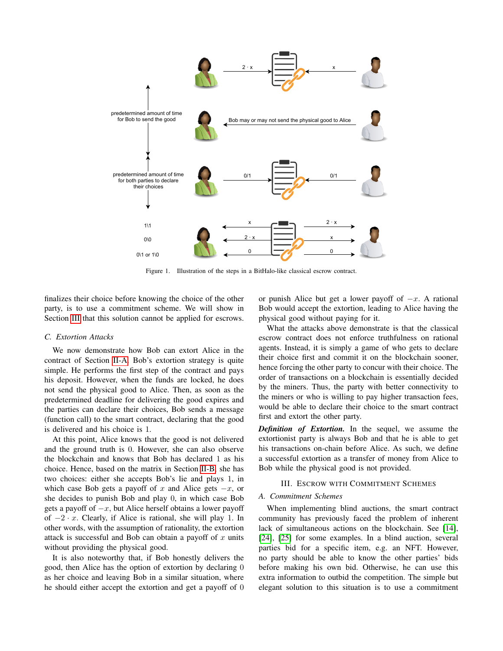

Figure 1. Illustration of the steps in a BitHalo-like classical escrow contract.

<span id="page-3-1"></span>finalizes their choice before knowing the choice of the other party, is to use a commitment scheme. We will show in Section [III](#page-3-0) that this solution cannot be applied for escrows.

## <span id="page-3-2"></span>*C. Extortion Attacks*

We now demonstrate how Bob can extort Alice in the contract of Section [II-A.](#page-1-1) Bob's extortion strategy is quite simple. He performs the first step of the contract and pays his deposit. However, when the funds are locked, he does not send the physical good to Alice. Then, as soon as the predetermined deadline for delivering the good expires and the parties can declare their choices, Bob sends a message (function call) to the smart contract, declaring that the good is delivered and his choice is 1.

At this point, Alice knows that the good is not delivered and the ground truth is 0. However, she can also observe the blockchain and knows that Bob has declared 1 as his choice. Hence, based on the matrix in Section [II-B,](#page-2-3) she has two choices: either she accepts Bob's lie and plays 1, in which case Bob gets a payoff of x and Alice gets  $-x$ , or she decides to punish Bob and play 0, in which case Bob gets a payoff of  $-x$ , but Alice herself obtains a lower payoff of  $-2 \cdot x$ . Clearly, if Alice is rational, she will play 1. In other words, with the assumption of rationality, the extortion attack is successful and Bob can obtain a payoff of  $x$  units without providing the physical good.

It is also noteworthy that, if Bob honestly delivers the good, then Alice has the option of extortion by declaring 0 as her choice and leaving Bob in a similar situation, where he should either accept the extortion and get a payoff of 0 or punish Alice but get a lower payoff of  $-x$ . A rational Bob would accept the extortion, leading to Alice having the physical good without paying for it.

What the attacks above demonstrate is that the classical escrow contract does not enforce truthfulness on rational agents. Instead, it is simply a game of who gets to declare their choice first and commit it on the blockchain sooner, hence forcing the other party to concur with their choice. The order of transactions on a blockchain is essentially decided by the miners. Thus, the party with better connectivity to the miners or who is willing to pay higher transaction fees, would be able to declare their choice to the smart contract first and extort the other party.

*Definition of Extortion.* In the sequel, we assume the extortionist party is always Bob and that he is able to get his transactions on-chain before Alice. As such, we define a successful extortion as a transfer of money from Alice to Bob while the physical good is not provided.

# III. ESCROW WITH COMMITMENT SCHEMES

# <span id="page-3-0"></span>*A. Commitment Schemes*

When implementing blind auctions, the smart contract community has previously faced the problem of inherent lack of simultaneous actions on the blockchain. See [\[14\]](#page-8-12), [\[24\]](#page-8-18), [\[25\]](#page-9-0) for some examples. In a blind auction, several parties bid for a specific item, e.g. an NFT. However, no party should be able to know the other parties' bids before making his own bid. Otherwise, he can use this extra information to outbid the competition. The simple but elegant solution to this situation is to use a commitment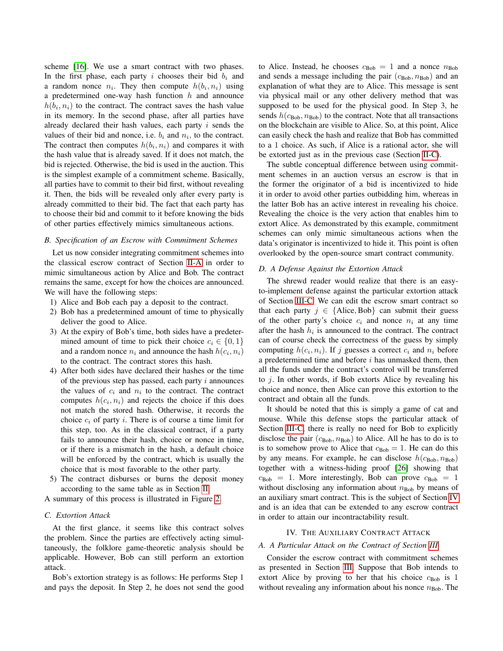scheme [\[16\]](#page-8-14). We use a smart contract with two phases. In the first phase, each party  $i$  chooses their bid  $b_i$  and a random nonce  $n_i$ . They then compute  $h(b_i, n_i)$  using a predetermined one-way hash function  $h$  and announce  $h(b_i, n_i)$  to the contract. The contract saves the hash value in its memory. In the second phase, after all parties have already declared their hash values, each party i sends the values of their bid and nonce, i.e.  $b_i$  and  $n_i$ , to the contract. The contract then computes  $h(b_i, n_i)$  and compares it with the hash value that is already saved. If it does not match, the bid is rejected. Otherwise, the bid is used in the auction. This is the simplest example of a commitment scheme. Basically, all parties have to commit to their bid first, without revealing it. Then, the bids will be revealed only after every party is already committed to their bid. The fact that each party has to choose their bid and commit to it before knowing the bids of other parties effectively mimics simultaneous actions.

## *B. Specification of an Escrow with Commitment Schemes*

Let us now consider integrating commitment schemes into the classical escrow contract of Section [II-A](#page-1-1) in order to mimic simultaneous action by Alice and Bob. The contract remains the same, except for how the choices are announced. We will have the following steps:

- 1) Alice and Bob each pay a deposit to the contract.
- 2) Bob has a predetermined amount of time to physically deliver the good to Alice.
- 3) At the expiry of Bob's time, both sides have a predetermined amount of time to pick their choice  $c_i \in \{0, 1\}$ and a random nonce  $n_i$  and announce the hash  $h(c_i, n_i)$ to the contract. The contract stores this hash.
- 4) After both sides have declared their hashes or the time of the previous step has passed, each party  $i$  announces the values of  $c_i$  and  $n_i$  to the contract. The contract computes  $h(c_i, n_i)$  and rejects the choice if this does not match the stored hash. Otherwise, it records the choice  $c_i$  of party i. There is of course a time limit for this step, too. As in the classical contract, if a party fails to announce their hash, choice or nonce in time, or if there is a mismatch in the hash, a default choice will be enforced by the contract, which is usually the choice that is most favorable to the other party.
- 5) The contract disburses or burns the deposit money according to the same table as in Section [II.](#page-1-0)

A summary of this process is illustrated in Figure [2.](#page-5-0)

## <span id="page-4-0"></span>*C. Extortion Attack*

At the first glance, it seems like this contract solves the problem. Since the parties are effectively acting simultaneously, the folklore game-theoretic analysis should be applicable. However, Bob can still perform an extortion attack.

Bob's extortion strategy is as follows: He performs Step 1 and pays the deposit. In Step 2, he does not send the good to Alice. Instead, he chooses  $c_{\text{Bob}} = 1$  and a nonce  $n_{\text{Bob}}$ and sends a message including the pair  $(c_{\text{Bob}}, n_{\text{Bob}})$  and an explanation of what they are to Alice. This message is sent via physical mail or any other delivery method that was supposed to be used for the physical good. In Step 3, he sends  $h(c_{\text{Bob}}, n_{\text{Bob}})$  to the contract. Note that all transactions on the blockchain are visible to Alice. So, at this point, Alice can easily check the hash and realize that Bob has committed to a 1 choice. As such, if Alice is a rational actor, she will be extorted just as in the previous case (Section [II-C\)](#page-3-2).

The subtle conceptual difference between using commitment schemes in an auction versus an escrow is that in the former the originator of a bid is incentivized to hide it in order to avoid other parties outbidding him, whereas in the latter Bob has an active interest in revealing his choice. Revealing the choice is the very action that enables him to extort Alice. As demonstrated by this example, commitment schemes can only mimic simultaneous actions when the data's originator is incentivized to hide it. This point is often overlooked by the open-source smart contract community.

#### *D. A Defense Against the Extortion Attack*

The shrewd reader would realize that there is an easyto-implement defense against the particular extortion attack of Section [III-C.](#page-4-0) We can edit the escrow smart contract so that each party  $j \in \{Alice, Bob\}$  can submit their guess of the other party's choice  $c_i$  and nonce  $n_i$  at any time after the hash  $h_i$  is announced to the contract. The contract can of course check the correctness of the guess by simply computing  $h(c_i, n_i)$ . If j guesses a correct  $c_i$  and  $n_i$  before a predetermined time and before  $i$  has unmasked them, then all the funds under the contract's control will be transferred to  $i$ . In other words, if Bob extorts Alice by revealing his choice and nonce, then Alice can prove this extortion to the contract and obtain all the funds.

It should be noted that this is simply a game of cat and mouse. While this defense stops the particular attack of Section [III-C,](#page-4-0) there is really no need for Bob to explicitly disclose the pair  $(c_{\text{Bob}}, n_{\text{Bob}})$  to Alice. All he has to do is to is to somehow prove to Alice that  $c_{\text{Bob}} = 1$ . He can do this by any means. For example, he can disclose  $h(c_{\text{Bob}}, n_{\text{Bob}})$ together with a witness-hiding proof [\[26\]](#page-9-1) showing that  $c_{\text{Bob}} = 1$ . More interestingly, Bob can prove  $c_{\text{Bob}} = 1$ without disclosing any information about  $n_{\text{Bob}}$  by means of an auxiliary smart contract. This is the subject of Section [IV](#page-4-1) and is an idea that can be extended to any escrow contract in order to attain our incontractability result.

# IV. THE AUXILIARY CONTRACT ATTACK

#### <span id="page-4-1"></span>*A. A Particular Attack on the Contract of Section [III](#page-3-0)*

Consider the escrow contract with commitment schemes as presented in Section [III.](#page-3-0) Suppose that Bob intends to extort Alice by proving to her that his choice  $c_{\text{Bob}}$  is 1 without revealing any information about his nonce  $n<sub>Bob</sub>$ . The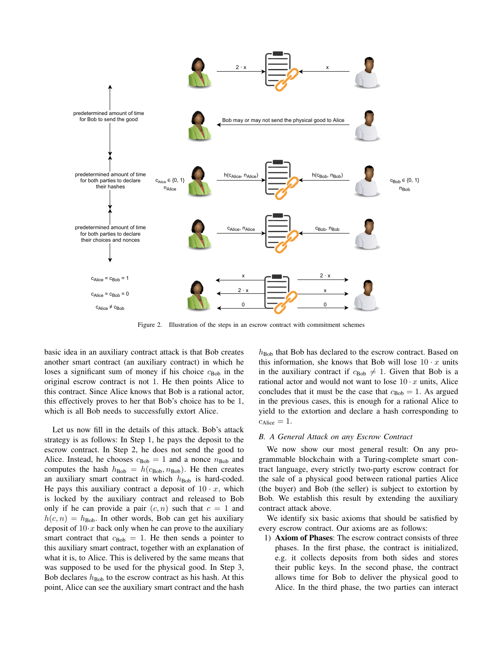

Figure 2. Illustration of the steps in an escrow contract with commitment schemes

<span id="page-5-0"></span>basic idea in an auxiliary contract attack is that Bob creates another smart contract (an auxiliary contract) in which he loses a significant sum of money if his choice  $c_{\text{Bob}}$  in the original escrow contract is not 1. He then points Alice to this contract. Since Alice knows that Bob is a rational actor, this effectively proves to her that Bob's choice has to be 1, which is all Bob needs to successfully extort Alice.

Let us now fill in the details of this attack. Bob's attack strategy is as follows: In Step 1, he pays the deposit to the escrow contract. In Step 2, he does not send the good to Alice. Instead, he chooses  $c_{\text{Bob}} = 1$  and a nonce  $n_{\text{Bob}}$  and computes the hash  $h_{\text{Bob}} = h(c_{\text{Bob}}, n_{\text{Bob}})$ . He then creates an auxiliary smart contract in which  $h_{\text{Bob}}$  is hard-coded. He pays this auxiliary contract a deposit of  $10 \cdot x$ , which is locked by the auxiliary contract and released to Bob only if he can provide a pair  $(c, n)$  such that  $c = 1$  and  $h(c, n) = h_{\text{Bob}}$ . In other words, Bob can get his auxiliary deposit of  $10 \tcdot x$  back only when he can prove to the auxiliary smart contract that  $c_{\text{Bob}} = 1$ . He then sends a pointer to this auxiliary smart contract, together with an explanation of what it is, to Alice. This is delivered by the same means that was supposed to be used for the physical good. In Step 3, Bob declares  $h_{\text{Bob}}$  to the escrow contract as his hash. At this point, Alice can see the auxiliary smart contract and the hash  $h_{\text{Bob}}$  that Bob has declared to the escrow contract. Based on this information, she knows that Bob will lose  $10 \cdot x$  units in the auxiliary contract if  $c_{\text{Bob}} \neq 1$ . Given that Bob is a rational actor and would not want to lose  $10 \cdot x$  units, Alice concludes that it must be the case that  $c_{\text{Bob}} = 1$ . As argued in the previous cases, this is enough for a rational Alice to yield to the extortion and declare a hash corresponding to  $c_{\text{Alice}} = 1$ .

#### *B. A General Attack on any Escrow Contract*

We now show our most general result: On any programmable blockchain with a Turing-complete smart contract language, every strictly two-party escrow contract for the sale of a physical good between rational parties Alice (the buyer) and Bob (the seller) is subject to extortion by Bob. We establish this result by extending the auxiliary contract attack above.

We identify six basic axioms that should be satisfied by every escrow contract. Our axioms are as follows:

1) Axiom of Phases: The escrow contract consists of three phases. In the first phase, the contract is initialized, e.g. it collects deposits from both sides and stores their public keys. In the second phase, the contract allows time for Bob to deliver the physical good to Alice. In the third phase, the two parties can interact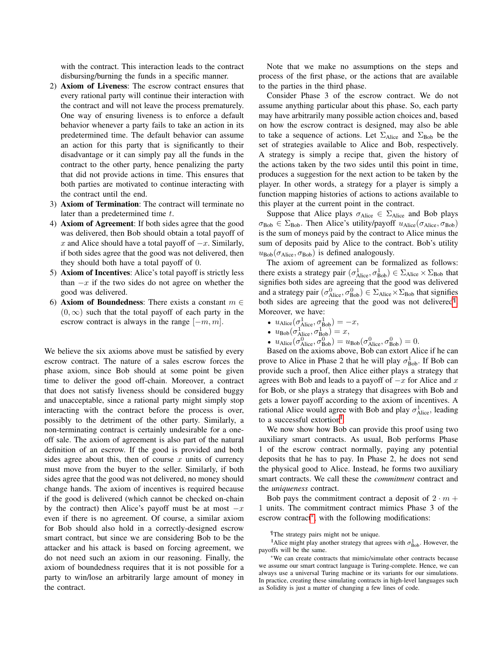with the contract. This interaction leads to the contract disbursing/burning the funds in a specific manner.

- 2) Axiom of Liveness: The escrow contract ensures that every rational party will continue their interaction with the contract and will not leave the process prematurely. One way of ensuring liveness is to enforce a default behavior whenever a party fails to take an action in its predetermined time. The default behavior can assume an action for this party that is significantly to their disadvantage or it can simply pay all the funds in the contract to the other party, hence penalizing the party that did not provide actions in time. This ensures that both parties are motivated to continue interacting with the contract until the end.
- 3) Axiom of Termination: The contract will terminate no later than a predetermined time t.
- 4) Axiom of Agreement: If both sides agree that the good was delivered, then Bob should obtain a total payoff of x and Alice should have a total payoff of  $-x$ . Similarly, if both sides agree that the good was not delivered, then they should both have a total payoff of 0.
- 5) Axiom of Incentives: Alice's total payoff is strictly less than  $-x$  if the two sides do not agree on whether the good was delivered.
- 6) Axiom of Boundedness: There exists a constant  $m \in$  $(0, \infty)$  such that the total payoff of each party in the escrow contract is always in the range  $[-m, m]$ .

We believe the six axioms above must be satisfied by every escrow contract. The nature of a sales escrow forces the phase axiom, since Bob should at some point be given time to deliver the good off-chain. Moreover, a contract that does not satisfy liveness should be considered buggy and unacceptable, since a rational party might simply stop interacting with the contract before the process is over, possibly to the detriment of the other party. Similarly, a non-terminating contract is certainly undesirable for a oneoff sale. The axiom of agreement is also part of the natural definition of an escrow. If the good is provided and both sides agree about this, then of course  $x$  units of currency must move from the buyer to the seller. Similarly, if both sides agree that the good was not delivered, no money should change hands. The axiom of incentives is required because if the good is delivered (which cannot be checked on-chain by the contract) then Alice's payoff must be at most  $-x$ even if there is no agreement. Of course, a similar axiom for Bob should also hold in a correctly-designed escrow smart contract, but since we are considering Bob to be the attacker and his attack is based on forcing agreement, we do not need such an axiom in our reasoning. Finally, the axiom of boundedness requires that it is not possible for a party to win/lose an arbitrarily large amount of money in the contract.

Note that we make no assumptions on the steps and process of the first phase, or the actions that are available to the parties in the third phase.

Consider Phase 3 of the escrow contract. We do not assume anything particular about this phase. So, each party may have arbitrarily many possible action choices and, based on how the escrow contract is designed, may also be able to take a sequence of actions. Let  $\Sigma_{Alice}$  and  $\Sigma_{Bob}$  be the set of strategies available to Alice and Bob, respectively. A strategy is simply a recipe that, given the history of the actions taken by the two sides until this point in time, produces a suggestion for the next action to be taken by the player. In other words, a strategy for a player is simply a function mapping histories of actions to actions available to this player at the current point in the contract.

Suppose that Alice plays  $\sigma_{Alice} \in \Sigma_{Alice}$  and Bob plays  $\sigma_{\text{Bob}} \in \Sigma_{\text{Bob}}$ . Then Alice's utility/payoff  $u_{\text{Alice}}(\sigma_{\text{Alice}}, \sigma_{\text{Bob}})$ is the sum of moneys paid by the contract to Alice minus the sum of deposits paid by Alice to the contract. Bob's utility  $u_{\text{Bob}}(\sigma_{\text{Alice}}, \sigma_{\text{Bob}})$  is defined analogously.

The axiom of agreement can be formalized as follows: there exists a strategy pair  $(\sigma_{Alice}^1, \sigma_{Bob}^1) \in \Sigma_{Alice} \times \Sigma_{Bob}$  that signifies both sides are agreeing that the good was delivered and a strategy pair  $(\sigma_{Alice}^0, \sigma_{Bob}^0) \in \Sigma_{Alice} \times \Sigma_{Bob}$  that signifies both sides are agreeing that the good was not delivered<sup>[¶](#page-6-0)</sup>. Moreover, we have:

- $u_{\text{Alice}}(\sigma_{\text{Alice}}^1, \sigma_{\text{Bob}}^1) = -x,$
- $u_{\text{Bob}}(\sigma_{\text{Alice}}^1, \sigma_{\text{Bob}}^1) = x,$
- $u_{\text{Alice}}(\sigma_{\text{Alice}}^0, \sigma_{\text{Bob}}^0) = u_{\text{Bob}}(\sigma_{\text{Alice}}^0, \sigma_{\text{Bob}}^0) = 0.$

Based on the axioms above, Bob can extort Alice if he can prove to Alice in Phase 2 that he will play  $\sigma_{\text{Bob}}^1$ . If Bob can provide such a proof, then Alice either plays a strategy that agrees with Bob and leads to a payoff of  $-x$  for Alice and x for Bob, or she plays a strategy that disagrees with Bob and gets a lower payoff according to the axiom of incentives. A rational Alice would agree with Bob and play  $\sigma_{Alice}^1$ , leading to a successful extortion<sup>®</sup>.

We now show how Bob can provide this proof using two auxiliary smart contracts. As usual, Bob performs Phase 1 of the escrow contract normally, paying any potential deposits that he has to pay. In Phase 2, he does not send the physical good to Alice. Instead, he forms two auxiliary smart contracts. We call these the *commitment* contract and the *uniqueness* contract.

Bob pays the commitment contract a deposit of  $2 \cdot m +$ 1 units. The commitment contract mimics Phase 3 of the escrow contract[\\*](#page-6-2), with the following modifications:

<span id="page-6-1"></span><span id="page-6-0"></span><sup>¶</sup>The strategy pairs might not be unique.

<sup>&</sup>lt;sup>||</sup>Alice might play another strategy that agrees with  $\sigma_{\text{Bob}}^1$ . However, the payoffs will be the same.

<span id="page-6-2"></span><sup>\*</sup>We can create contracts that mimic/simulate other contracts because we assume our smart contract language is Turing-complete. Hence, we can always use a universal Turing machine or its variants for our simulations. In practice, creating these simulating contracts in high-level languages such as Solidity is just a matter of changing a few lines of code.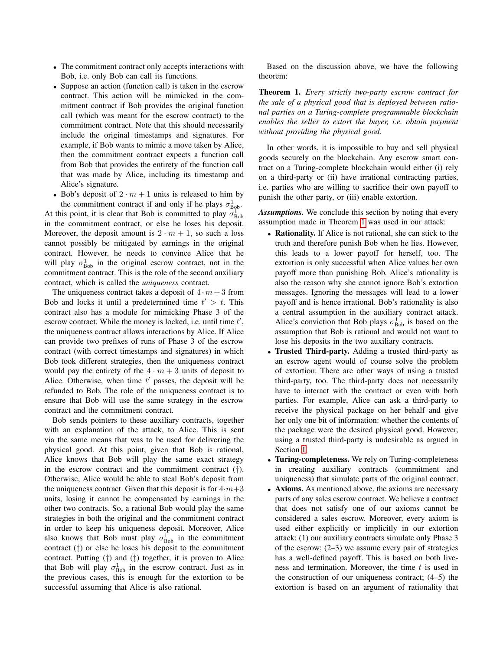- The commitment contract only accepts interactions with Bob, i.e. only Bob can call its functions.
- Suppose an action (function call) is taken in the escrow contract. This action will be mimicked in the commitment contract if Bob provides the original function call (which was meant for the escrow contract) to the commitment contract. Note that this should necessarily include the original timestamps and signatures. For example, if Bob wants to mimic a move taken by Alice, then the commitment contract expects a function call from Bob that provides the entirety of the function call that was made by Alice, including its timestamp and Alice's signature.

• Bob's deposit of  $2 \cdot m + 1$  units is released to him by the commitment contract if and only if he plays  $\sigma_{\text{Bob}}^1$ . At this point, it is clear that Bob is committed to play  $\sigma_{\text{Bob}}^1$ in the commitment contract, or else he loses his deposit. Moreover, the deposit amount is  $2 \cdot m + 1$ , so such a loss cannot possibly be mitigated by earnings in the original contract. However, he needs to convince Alice that he will play  $\sigma_{\text{Bob}}^1$  in the original escrow contract, not in the commitment contract. This is the role of the second auxiliary contract, which is called the *uniqueness* contract.

The uniqueness contract takes a deposit of  $4 \cdot m + 3$  from Bob and locks it until a predetermined time  $t' > t$ . This contract also has a module for mimicking Phase 3 of the escrow contract. While the money is locked, i.e. until time  $t'$ , the uniqueness contract allows interactions by Alice. If Alice can provide two prefixes of runs of Phase 3 of the escrow contract (with correct timestamps and signatures) in which Bob took different strategies, then the uniqueness contract would pay the entirety of the  $4 \cdot m + 3$  units of deposit to Alice. Otherwise, when time  $t'$  passes, the deposit will be refunded to Bob. The role of the uniqueness contract is to ensure that Bob will use the same strategy in the escrow contract and the commitment contract.

Bob sends pointers to these auxiliary contracts, together with an explanation of the attack, to Alice. This is sent via the same means that was to be used for delivering the physical good. At this point, given that Bob is rational, Alice knows that Bob will play the same exact strategy in the escrow contract and the commitment contract  $(†)$ . Otherwise, Alice would be able to steal Bob's deposit from the uniqueness contract. Given that this deposit is for  $4 \cdot m + 3$ units, losing it cannot be compensated by earnings in the other two contracts. So, a rational Bob would play the same strategies in both the original and the commitment contract in order to keep his uniqueness deposit. Moreover, Alice also knows that Bob must play  $\sigma_{\text{Bob}}^1$  in the commitment contract (‡) or else he loses his deposit to the commitment contract. Putting  $(\dagger)$  and  $(\dagger)$  together, it is proven to Alice that Bob will play  $\sigma_{\text{Bob}}^1$  in the escrow contract. Just as in the previous cases, this is enough for the extortion to be successful assuming that Alice is also rational.

Based on the discussion above, we have the following theorem:

<span id="page-7-0"></span>Theorem 1. *Every strictly two-party escrow contract for the sale of a physical good that is deployed between rational parties on a Turing-complete programmable blockchain enables the seller to extort the buyer, i.e. obtain payment without providing the physical good.*

In other words, it is impossible to buy and sell physical goods securely on the blockchain. Any escrow smart contract on a Turing-complete blockchain would either (i) rely on a third-party or (ii) have irrational contracting parties, i.e. parties who are willing to sacrifice their own payoff to punish the other party, or (iii) enable extortion.

*Assumptions.* We conclude this section by noting that every assumption made in Theorem [1](#page-7-0) was used in our attack:

- Rationality. If Alice is not rational, she can stick to the truth and therefore punish Bob when he lies. However, this leads to a lower payoff for herself, too. The extortion is only successful when Alice values her own payoff more than punishing Bob. Alice's rationality is also the reason why she cannot ignore Bob's extortion messages. Ignoring the messages will lead to a lower payoff and is hence irrational. Bob's rationality is also a central assumption in the auxiliary contract attack. Alice's conviction that Bob plays  $\sigma_{\text{Bob}}^1$  is based on the assumption that Bob is rational and would not want to lose his deposits in the two auxiliary contracts.
- Trusted Third-party. Adding a trusted third-party as an escrow agent would of course solve the problem of extortion. There are other ways of using a trusted third-party, too. The third-party does not necessarily have to interact with the contract or even with both parties. For example, Alice can ask a third-party to receive the physical package on her behalf and give her only one bit of information: whether the contents of the package were the desired physical good. However, using a trusted third-party is undesirable as argued in Section [I.](#page-0-1)
- Turing-completeness. We rely on Turing-completeness in creating auxiliary contracts (commitment and uniqueness) that simulate parts of the original contract.
- Axioms. As mentioned above, the axioms are necessary parts of any sales escrow contract. We believe a contract that does not satisfy one of our axioms cannot be considered a sales escrow. Moreover, every axiom is used either explicitly or implicitly in our extortion attack: (1) our auxiliary contracts simulate only Phase 3 of the escrow;  $(2-3)$  we assume every pair of strategies has a well-defined payoff. This is based on both liveness and termination. Moreover, the time  $t$  is used in the construction of our uniqueness contract; (4–5) the extortion is based on an argument of rationality that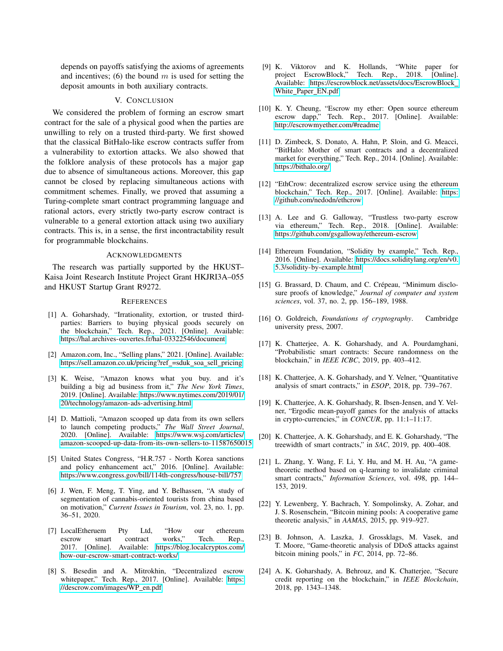depends on payoffs satisfying the axioms of agreements and incentives; (6) the bound  $m$  is used for setting the deposit amounts in both auxiliary contracts.

# V. CONCLUSION

We considered the problem of forming an escrow smart contract for the sale of a physical good when the parties are unwilling to rely on a trusted third-party. We first showed that the classical BitHalo-like escrow contracts suffer from a vulnerability to extortion attacks. We also showed that the folklore analysis of these protocols has a major gap due to absence of simultaneous actions. Moreover, this gap cannot be closed by replacing simultaneous actions with commitment schemes. Finally, we proved that assuming a Turing-complete smart contract programming language and rational actors, every strictly two-party escrow contract is vulnerable to a general extortion attack using two auxiliary contracts. This is, in a sense, the first incontractability result for programmable blockchains.

#### ACKNOWLEDGMENTS

The research was partially supported by the HKUST– Kaisa Joint Research Institute Project Grant HKJRI3A–055 and HKUST Startup Grant R9272.

## **REFERENCES**

- [1] A. Goharshady, "Irrationality, extortion, or trusted thirdparties: Barriers to buying physical goods securely on the blockchain," Tech. Rep., 2021. [Online]. Available: <https://hal.archives-ouvertes.fr/hal-03322546/document>
- <span id="page-8-0"></span>[2] Amazon.com, Inc., "Selling plans," 2021. [Online]. Available: [https://sell.amazon.co.uk/pricing?ref](https://sell.amazon.co.uk/pricing?ref_=sduk_soa_sell_pricing)\_=sduk\_soa\_sell\_pricing
- <span id="page-8-1"></span>[3] K. Weise, "Amazon knows what you buy. and it's building a big ad business from it," *The New York Times*, 2019. [Online]. Available: [https://www.nytimes.com/2019/01/](https://www.nytimes.com/2019/01/20/technology/amazon-ads-advertising.html) [20/technology/amazon-ads-advertising.html](https://www.nytimes.com/2019/01/20/technology/amazon-ads-advertising.html)
- <span id="page-8-2"></span>[4] D. Mattioli, "Amazon scooped up data from its own sellers to launch competing products," *The Wall Street Journal*, 2020. [Online]. Available: [https://www.wsj.com/articles/](https://www.wsj.com/articles/amazon-scooped-up-data-from-its-own-sellers-to-11587650015) [amazon-scooped-up-data-from-its-own-sellers-to-11587650015](https://www.wsj.com/articles/amazon-scooped-up-data-from-its-own-sellers-to-11587650015)
- <span id="page-8-3"></span>[5] United States Congress, "H.R.757 - North Korea sanctions and policy enhancement act," 2016. [Online]. Available: <https://www.congress.gov/bill/114th-congress/house-bill/757>
- <span id="page-8-4"></span>[6] J. Wen, F. Meng, T. Ying, and Y. Belhassen, "A study of segmentation of cannabis-oriented tourists from china based on motivation," *Current Issues in Tourism*, vol. 23, no. 1, pp. 36–51, 2020.
- <span id="page-8-5"></span>[7] LocalEtheruem Pty Ltd, "How our ethereum escrow smart contract works," Tech. Rep., 2017. [Online]. Available: [https://blog.localcryptos.com/](https://blog.localcryptos.com/how-our-escrow-smart-contract-works/) [how-our-escrow-smart-contract-works/](https://blog.localcryptos.com/how-our-escrow-smart-contract-works/)
- <span id="page-8-6"></span>[8] S. Besedin and A. Mitrokhin, "Decentralized escrow whitepaper," Tech. Rep., 2017. [Online]. Available: [https:](https://descrow.com/images/WP_en.pdf) [//descrow.com/images/WP](https://descrow.com/images/WP_en.pdf)\_en.pdf
- <span id="page-8-7"></span>[9] K. Viktorov and K. Hollands, "White paper for project EscrowBlock," Tech. Rep., 2018. [Online]. Available: [https://escrowblock.net/assets/docs/EscrowBlock](https://escrowblock.net/assets/docs/EscrowBlock_White_Paper_EN.pdf) White\_Paper\_[EN.pdf](https://escrowblock.net/assets/docs/EscrowBlock_White_Paper_EN.pdf)
- <span id="page-8-8"></span>[10] K. Y. Cheung, "Escrow my ether: Open source ethereum escrow dapp," Tech. Rep., 2017. [Online]. Available: <http://escrowmyether.com/#readme>
- <span id="page-8-9"></span>[11] D. Zimbeck, S. Donato, A. Hahn, P. Sloin, and G. Meacci, "BitHalo: Mother of smart contracts and a decentralized market for everything," Tech. Rep., 2014. [Online]. Available: <https://bithalo.org/>
- <span id="page-8-10"></span>[12] "EthCrow: decentralized escrow service using the ethereum blockchain," Tech. Rep., 2017. [Online]. Available: [https:](https://github.com/nedodn/ethcrow) [//github.com/nedodn/ethcrow](https://github.com/nedodn/ethcrow)
- <span id="page-8-11"></span>[13] A. Lee and G. Galloway, "Trustless two-party escrow via ethereum," Tech. Rep., 2018. [Online]. Available: <https://github.com/gsgalloway/ethereum-escrow>
- <span id="page-8-12"></span>[14] Ethereum Foundation, "Solidity by example," Tech. Rep., 2016. [Online]. Available: [https://docs.soliditylang.org/en/v0.](https://docs.soliditylang.org/en/v0.5.3/solidity-by-example.html) [5.3/solidity-by-example.html](https://docs.soliditylang.org/en/v0.5.3/solidity-by-example.html)
- <span id="page-8-13"></span>[15] G. Brassard, D. Chaum, and C. Crépeau, "Minimum disclosure proofs of knowledge," *Journal of computer and system sciences*, vol. 37, no. 2, pp. 156–189, 1988.
- <span id="page-8-14"></span>[16] O. Goldreich, *Foundations of cryptography*. Cambridge university press, 2007.
- <span id="page-8-15"></span>[17] K. Chatterjee, A. K. Goharshady, and A. Pourdamghani, "Probabilistic smart contracts: Secure randomness on the blockchain," in *IEEE ICBC*, 2019, pp. 403–412.
- <span id="page-8-16"></span>[18] K. Chatterjee, A. K. Goharshady, and Y. Velner, "Quantitative analysis of smart contracts," in *ESOP*, 2018, pp. 739–767.
- [19] K. Chatterjee, A. K. Goharshady, R. Ibsen-Jensen, and Y. Velner, "Ergodic mean-payoff games for the analysis of attacks in crypto-currencies," in *CONCUR*, pp. 11:1–11:17.
- [20] K. Chatterjee, A. K. Goharshady, and E. K. Goharshady, "The treewidth of smart contracts," in *SAC*, 2019, pp. 400–408.
- [21] L. Zhang, Y. Wang, F. Li, Y. Hu, and M. H. Au, "A gametheoretic method based on q-learning to invalidate criminal smart contracts," *Information Sciences*, vol. 498, pp. 144– 153, 2019.
- [22] Y. Lewenberg, Y. Bachrach, Y. Sompolinsky, A. Zohar, and J. S. Rosenschein, "Bitcoin mining pools: A cooperative game theoretic analysis," in *AAMAS*, 2015, pp. 919–927.
- <span id="page-8-17"></span>[23] B. Johnson, A. Laszka, J. Grossklags, M. Vasek, and T. Moore, "Game-theoretic analysis of DDoS attacks against bitcoin mining pools," in *FC*, 2014, pp. 72–86.
- <span id="page-8-18"></span>[24] A. K. Goharshady, A. Behrouz, and K. Chatterjee, "Secure credit reporting on the blockchain," in *IEEE Blockchain*, 2018, pp. 1343–1348.